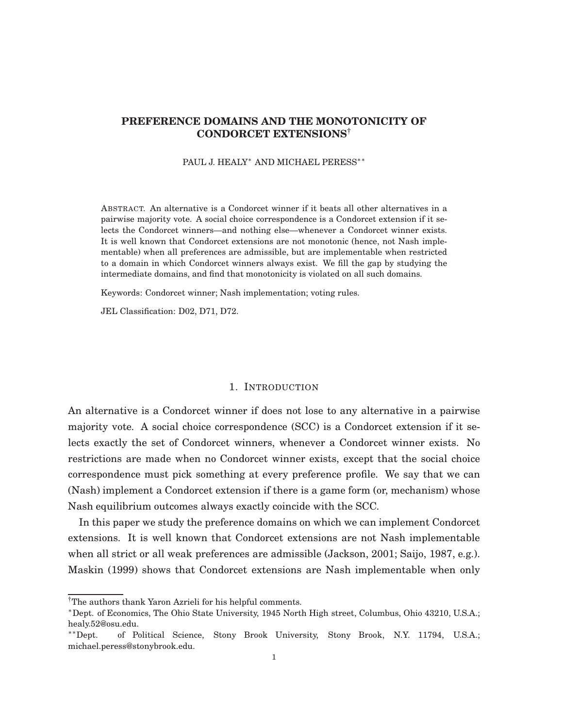# **PREFERENCE DOMAINS AND THE MONOTONICITY OF CONDORCET EXTENSIONS**†

PAUL J. HEALY<sup>\*</sup> AND MICHAEL PERESS<sup>\*</sup><sup>\*</sup>

ABSTRACT. An alternative is a Condorcet winner if it beats all other alternatives in a pairwise majority vote. A social choice correspondence is a Condorcet extension if it selects the Condorcet winners—and nothing else—whenever a Condorcet winner exists. It is well known that Condorcet extensions are not monotonic (hence, not Nash implementable) when all preferences are admissible, but are implementable when restricted to a domain in which Condorcet winners always exist. We fill the gap by studying the intermediate domains, and find that monotonicity is violated on all such domains.

Keywords: Condorcet winner; Nash implementation; voting rules.

JEL Classification: D02, D71, D72.

### 1. INTRODUCTION

An alternative is a Condorcet winner if does not lose to any alternative in a pairwise majority vote. A social choice correspondence (SCC) is a Condorcet extension if it selects exactly the set of Condorcet winners, whenever a Condorcet winner exists. No restrictions are made when no Condorcet winner exists, except that the social choice correspondence must pick something at every preference profile. We say that we can (Nash) implement a Condorcet extension if there is a game form (or, mechanism) whose Nash equilibrium outcomes always exactly coincide with the SCC.

In this paper we study the preference domains on which we can implement Condorcet extensions. It is well known that Condorcet extensions are not Nash implementable when all strict or all weak preferences are admissible (Jackson, 2001; Saijo, 1987, e.g.). Maskin (1999) shows that Condorcet extensions are Nash implementable when only

<sup>†</sup>The authors thank Yaron Azrieli for his helpful comments.

<sup>∗</sup>Dept. of Economics, The Ohio State University, 1945 North High street, Columbus, Ohio 43210, U.S.A.; healy.52@osu.edu.

<sup>∗∗</sup>Dept. of Political Science, Stony Brook University, Stony Brook, N.Y. 11794, U.S.A.; michael.peress@stonybrook.edu.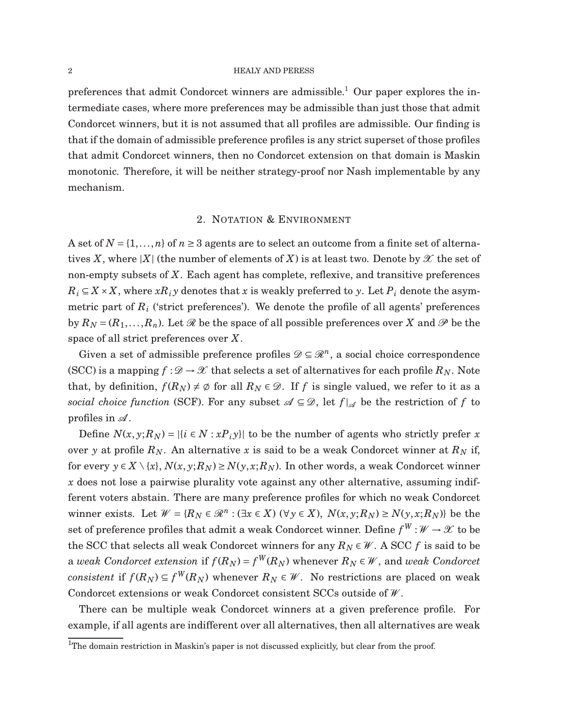preferences that admit Condorcet winners are admissible.<sup>1</sup> Our paper explores the intermediate cases, where more preferences may be admissible than just those that admit Condorcet winners, but it is not assumed that all profiles are admissible. Our finding is that if the domain of admissible preference profiles is any strict superset of those profiles that admit Condorcet winners, then no Condorcet extension on that domain is Maskin monotonic. Therefore, it will be neither strategy-proof nor Nash implementable by any mechanism.

## 2. NOTATION & ENVIRONMENT

A set of  $N = \{1, ..., n\}$  of  $n \geq 3$  agents are to select an outcome from a finite set of alternatives X, where  $|X|$  (the number of elements of X) is at least two. Denote by  $\mathscr X$  the set of non-empty subsets of *X*. Each agent has complete, reflexive, and transitive preferences  $R_i \subseteq X \times X$ , where  $xR_i y$  denotes that x is weakly preferred to y. Let  $P_i$  denote the asymmetric part of *R<sup>i</sup>* ('strict preferences'). We denote the profile of all agents' preferences by  $R_N = (R_1, \ldots, R_n)$ . Let  $\mathcal R$  be the space of all possible preferences over  $X$  and  $\mathcal P$  be the space of all strict preferences over *X*.

Given a set of admissible preference profiles  $\mathscr{D} \subseteq \mathscr{R}^n$ , a social choice correspondence (SCC) is a mapping  $f : \mathcal{D} \to \mathcal{X}$  that selects a set of alternatives for each profile  $R_N$ . Note that, by definition,  $f(R_N) \neq \emptyset$  for all  $R_N \in \mathcal{D}$ . If f is single valued, we refer to it as a *social choice function* (SCF). For any subset  $\mathcal{A} \subseteq \mathcal{D}$ , let  $f|_{\mathcal{A}}$  be the restriction of f to profiles in  $\mathcal{A}$ .

Define  $N(x, y; R_N) = |\{i \in N : xP_i y\}|$  to be the number of agents who strictly prefer x over *y* at profile  $R_N$ . An alternative *x* is said to be a weak Condorcet winner at  $R_N$  if, for every  $y \in X \setminus \{x\}$ ,  $N(x, y; R_N) \ge N(y, x; R_N)$ . In other words, a weak Condorcet winner *x* does not lose a pairwise plurality vote against any other alternative, assuming indifferent voters abstain. There are many preference profiles for which no weak Condorcet winner exists. Let  $W = \{R_N \in \mathcal{R}^n : (\exists x \in X) \ (\forall y \in X), \ N(x, y; R_N) \ge N(y, x; R_N)\}$  be the set of preference profiles that admit a weak Condorcet winner. Define  $f^W$  :  $\mathscr{W} \to \mathscr{X}$  to be the SCC that selects all weak Condorcet winners for any  $R_N \in W$ . A SCC *f* is said to be a *weak <code>Condorcet</code> extension <code>if*  $f(R_N)$  *=*  $f^W(R_N)$  *whenever*  $R_N \in \mathcal{W}$ *, and <i>weak <code>Condorcet</code>*</code> *consistent* if  $f(R_N) \subseteq f^W(R_N)$  whenever  $R_N \in \mathcal{W}$ . No restrictions are placed on weak Condorcet extensions or weak Condorcet consistent SCCs outside of  $W$ .

There can be multiple weak Condorcet winners at a given preference profile. For example, if all agents are indifferent over all alternatives, then all alternatives are weak

<sup>&</sup>lt;sup>1</sup>The domain restriction in Maskin's paper is not discussed explicitly, but clear from the proof.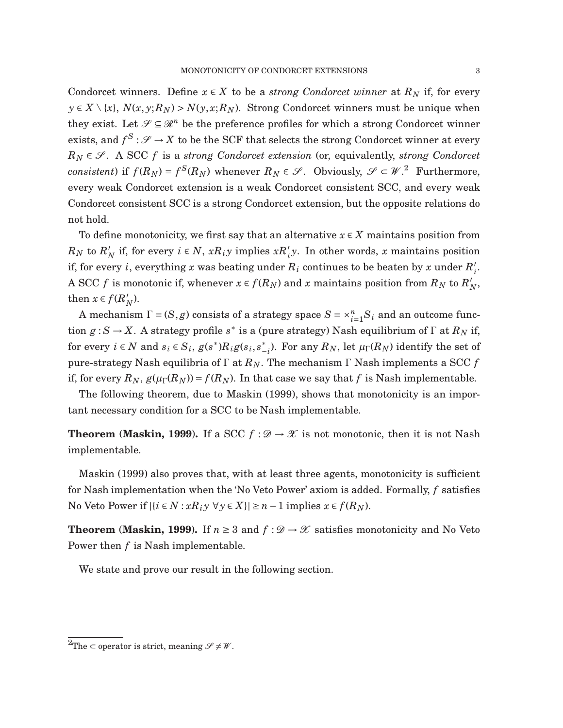Condorcet winners. Define  $x \in X$  to be a *strong Condorcet winner* at  $R_N$  if, for every  $y \in X \setminus \{x\}, N(x, y; R_N) > N(y, x; R_N)$ . Strong Condorcet winners must be unique when they exist. Let  $\mathscr{S} \subseteq \mathscr{R}^n$  be the preference profiles for which a strong Condorcet winner exists, and  $f^S$  :  $\mathscr{S} \to X$  to be the SCF that selects the strong Condorcet winner at every  $R_N \in \mathcal{S}$ . A SCC *f* is a *strong Condorcet extension* (or, equivalently, *strong Condorcet consistent*) if  $f(R_N) = f^S(R_N)$  whenever  $R_N \in \mathcal{S}$ . Obviously,  $\mathcal{S} \subset \mathcal{W}$ .<sup>2</sup> Furthermore, every weak Condorcet extension is a weak Condorcet consistent SCC, and every weak Condorcet consistent SCC is a strong Condorcet extension, but the opposite relations do not hold.

To define monotonicity, we first say that an alternative *x* ∈ *X* maintains position from  $R_N$  to  $R'_N$ *N* if, for every  $i \in N$ ,  $xR_iy$  implies  $xR'_iy$ . In other words, *x* maintains position if, for every *i*, everything *x* was beating under  $R_i$  continues to be beaten by *x* under  $R_i'$ *i* . A SCC *f* is monotonic if, whenever  $x \in f(R_N)$  and *x* maintains position from  $R_N$  to  $R'_N$ *N* , then  $x \in f(R)$ *N* ).

A mechanism  $\Gamma = (S, g)$  consists of a strategy space  $S = \times_{i=1}^{n} S_i$  and an outcome func- $\text{tion } g: S \to X$ . A strategy profile  $s^*$  is a (pure strategy) Nash equilibrium of  $\Gamma$  at  $R_N$  if, for every  $i \in N$  and  $s_i \in S_i$ ,  $g(s^*)R_ig(s_i, s^*_-)$  $\binom{*}{-i}$ . For any  $R_N$ , let  $\mu_{\Gamma}(R_N)$  identify the set of pure-strategy Nash equilibria of Γ at *RN*. The mechanism Γ Nash implements a SCC *f* if, for every  $R_N$ ,  $g(\mu_\Gamma(R_N)) = f(R_N)$ . In that case we say that *f* is Nash implementable.

The following theorem, due to Maskin (1999), shows that monotonicity is an important necessary condition for a SCC to be Nash implementable.

**Theorem** (Maskin, 1999). If a SCC  $f : \mathcal{D} \to \mathcal{X}$  is not monotonic, then it is not Nash implementable.

Maskin (1999) also proves that, with at least three agents, monotonicity is sufficient for Nash implementation when the 'No Veto Power' axiom is added. Formally, *f* satisfies No Veto Power if  $|\{i \in N : xR_i y \forall y \in X\}| \ge n - 1$  implies  $x \in f(R_N)$ .

**Theorem** (Maskin, 1999). If  $n \geq 3$  and  $f : \mathcal{D} \to \mathcal{X}$  satisfies monotonicity and No Veto Power then *f* is Nash implementable.

We state and prove our result in the following section.

<sup>&</sup>lt;sup>2</sup>The ⊂ operator is strict, meaning  $\mathcal{S} \neq \mathcal{W}$ .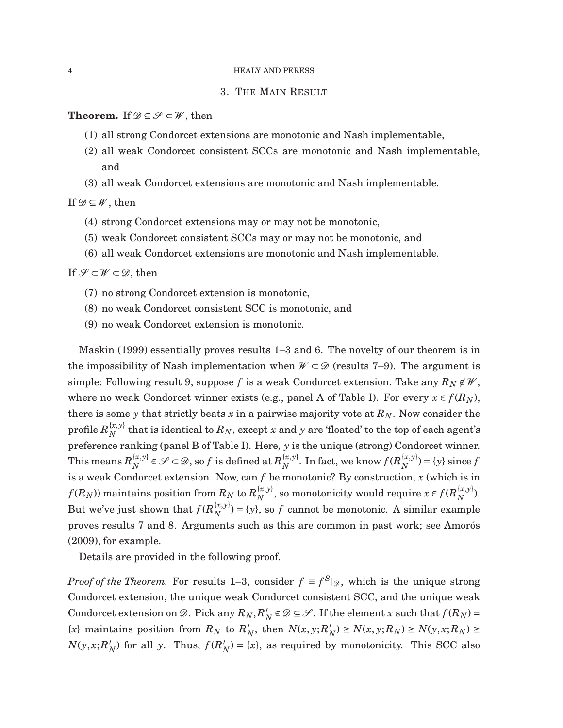### 3. THE MAIN RESULT

## **Theorem.** If  $\mathcal{D} \subseteq \mathcal{S} \subset \mathcal{W}$ , then

- (1) all strong Condorcet extensions are monotonic and Nash implementable,
- (2) all weak Condorcet consistent SCCs are monotonic and Nash implementable, and
- (3) all weak Condorcet extensions are monotonic and Nash implementable.

If  $\mathscr{D} \subseteq \mathscr{W}$ , then

- (4) strong Condorcet extensions may or may not be monotonic,
- (5) weak Condorcet consistent SCCs may or may not be monotonic, and
- (6) all weak Condorcet extensions are monotonic and Nash implementable.

# If  $\mathscr{S} \subset \mathscr{W} \subset \mathscr{D}$ , then

- (7) no strong Condorcet extension is monotonic,
- (8) no weak Condorcet consistent SCC is monotonic, and
- (9) no weak Condorcet extension is monotonic.

Maskin (1999) essentially proves results 1–3 and 6. The novelty of our theorem is in the impossibility of Nash implementation when  $W \subset \mathcal{D}$  (results 7–9). The argument is simple: Following result 9, suppose f is a weak Condorcet extension. Take any  $R_N \notin \mathcal{W}$ , where no weak Condorcet winner exists (e.g., panel A of Table I). For every  $x \in f(R_N)$ , there is some *y* that strictly beats *x* in a pairwise majority vote at  $R_N$ . Now consider the profile  $R^{ \{ x,y \} }_{ N }$  $N$ <sup>*x*</sup>, $y$ <sup>*r*</sup> that is identical to  $R_N$ , except *x* and *y* are 'floated' to the top of each agent's preference ranking (panel B of Table I). Here, *y* is the unique (strong) Condorcet winner. This means  $R_N^{\{x,y\}}$  $\mathcal{E}_{N}^{\{x,y\}} \in \mathscr{S} \subset \mathscr{D}$ , so  $f$  is defined at  $R_N^{\{x,y\}}$  $_N^{\{x,y\}}$ . In fact, we know  $f(R_N^{\{x,y\}})$  $\chi^{(x,y)}(N) = \{y\}$  since *f* is a weak Condorcet extension. Now, can *f* be monotonic? By construction, *x* (which is in  $f(R_N)$ ) maintains position from  $R_N$  to  $R_N^{\{x,y\}}$  $\mathcal{R}_{N}^{(x,y)}$ , so monotonicity would require  $x \in f(R_N^{\{x,y\}})$  $N^{(x,y)}$ ). But we've just shown that  $f(R_N^{\{x,y\}})$  $\binom{x,y}{N}$  = {*y*}, so *f* cannot be monotonic. A similar example proves results 7 and 8. Arguments such as this are common in past work; see Amorós (2009), for example.

Details are provided in the following proof.

*Proof of the Theorem.* For results 1–3, consider  $f \equiv f^S|_{\mathcal{D}}$ , which is the unique strong Condorcet extension, the unique weak Condorcet consistent SCC, and the unique weak Condorcet extension on  $\mathscr{D}$ . Pick any  $R_N, R'_N$  $N/N \in \mathcal{D} \subseteq \mathcal{S}$ . If the element *x* such that  $f(R_N) =$  ${x}$  maintains position from  $R_N$  to  $R'_N$  $N_N$ , then  $N(x, y; R'_N)$  $N_N$ ) ≥  $N(x, y; R_N) \ge N(y, x; R_N) \ge$  $N(y, x; R)$  $f'_N$ ) for all *y*. Thus,  $f(R'_N)$  $N_N$ ) = {*x*}, as required by monotonicity. This SCC also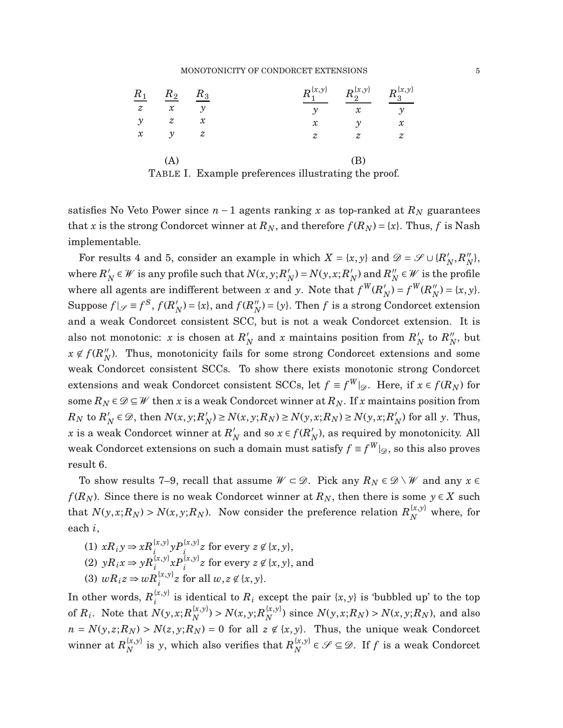### MONOTONICITY OF CONDORCET EXTENSIONS 5

|               | $\frac{R_1}{z}$ $\frac{R_2}{x}$ $\frac{R_3}{y}$ |                |                           |                            | $R_1^{\{x,y\}}$ $R_2^{\{x,y\}}$ $R_3^{\{x,y\}}$ |                  |
|---------------|-------------------------------------------------|----------------|---------------------------|----------------------------|-------------------------------------------------|------------------|
|               |                                                 | $\mathcal{Y}$  |                           | $\mathcal{Y}$              | $\mathcal{X}$                                   | $\mathcal{Y}$    |
| $\mathcal{Y}$ | z                                               | $\mathcal{X}$  |                           | $\boldsymbol{\mathcal{X}}$ | $\mathcal{Y}$                                   | $\mathcal{X}$    |
| $\mathcal{X}$ | $\mathcal{Y}$                                   | $\overline{z}$ |                           | $\overline{z}$             | z                                               | $\boldsymbol{z}$ |
|               | (A)                                             |                |                           |                            | (B)                                             |                  |
|               | $m - -  \overline{r}$ $\overline{m}$            |                | $\mathbf{1}$ $\mathbf{0}$ | $-11$ , $1$ , $1$ , $1$    |                                                 | $\sim$ $\sim$    |

TABLE I. Example preferences illustrating the proof.

satisfies No Veto Power since  $n-1$  agents ranking x as top-ranked at  $R_N$  guarantees that *x* is the strong Condorcet winner at  $R_N$ , and therefore  $f(R_N) = \{x\}$ . Thus, f is Nash implementable.

For results 4 and 5, consider an example in which  $X = \{x, y\}$  and  $\mathcal{D} = \mathcal{S} \cup \{R\}$  $N'_N$ , $R''_N$ *N* }, where  $R_7'$  $N/N \in W$  is any profile such that  $N(x, y; R_N')$  $N_N$ ) =  $N(y, x; R'_1)$  $_N'$ ) and  $R_N''$  $N'$  ∈  $W$  is the profile where all agents are indifferent between *x* and *y*. Note that  $f^W(R)$  $f_N$ ) =  $f^W(R_N'')$  $N'_{N}$ ) = {*x*, *y*}. Suppose  $f|_{\mathscr{S}} \equiv f^S, f(R)$  $f_N$ ) = {*x*}, and  $f(R_N'')$  $N_N^{\prime\prime}$ ) = {*y*}. Then *f* is a strong Condorcet extension and a weak Condorcet consistent SCC, but is not a weak Condorcet extension. It is also not monotonic: *x* is chosen at  $R'$  $N_N$  and *x* maintains position from  $R_N'$  $'_{N}$  to  $R''_{N}$  $\frac{\prime\prime}{N}$ , but  $x \notin f(R''_{\lambda})$  $N<sub>N</sub>$ ). Thus, monotonicity fails for some strong Condorcet extensions and some weak Condorcet consistent SCCs. To show there exists monotonic strong Condorcet extensions and weak Condorcet consistent SCCs, let  $f \equiv f^W|_{\mathscr{D}}$ . Here, if  $x \in f(R_N)$  for some  $R_N \in \mathcal{D} \subseteq \mathcal{W}$  then *x* is a weak Condorcet winner at  $R_N$ . If *x* maintains position from  $R_N$  to  $R'_N$  $N'$   $\in \mathcal{D}$ , then  $N(x, y; R)$ *N*</sup> $(N)$  ≥ *N*(*x*, *y*; *R*<sub>*N*</sub>) ≥ *N*(*y*, *x*; *R*<sub>*N*</sub>) ≥ *N*(*y*, *x*; *R*<sup>*N*</sup><sub>*I*</sub>  $\binom{N}{N}$  for all *y*. Thus, *x* is a weak Condorcet winner at  $R'_{\lambda}$  $\frac{N}{N}$  and so  $x \in f(R'_1)$  $N_N$ ), as required by monotonicity. All weak Condorcet extensions on such a domain must satisfy  $f \equiv f^W|_{\mathscr{D}}$ , so this also proves result 6.

To show results 7–9, recall that assume  $W \subset \mathcal{D}$ . Pick any  $R_N \in \mathcal{D} \setminus \mathcal{W}$  and any  $x \in \mathcal{D}$ *f*( $R_N$ ). Since there is no weak Condorcet winner at  $R_N$ , then there is some  $y \in X$  such that  $N(y, x; R_N) > N(x, y; R_N)$ . Now consider the preference relation  $R_N^{\{x, y\}}$  where, for each *i*,

(1)  $xR_i y \Rightarrow xR_i^{(x,y)} yP_i^{(x,y)} z$  for every  $z \not\in \{x, y\},$ (2)  $yR_ix \Rightarrow yR_i^{(x,y)}xP_i^{(x,y)}z$  for every  $z \not\in \{x, y\}$ , and (3)  $wR_iz \Rightarrow wR_i^{x,y}z$  for all  $w, z \notin \{x, y\}.$ 

In other words,  $R_i^{\{x,y\}}$  $\sum_{i}^{(x,y)}$  is identical to  $R_i$  except the pair  $\{x, y\}$  is 'bubbled up' to the top of  $R_i$ . Note that  $N(y, x; R_N^{\{x, y\}})$  $N^{(x,y)}$  >  $N(x, y; R_N^{\{x,y\}})$  $N_N^{(x,y)}$  since  $N(y,x;R_N) > N(x,y;R_N)$ , and also  $n = N(y, z; R_N) > N(z, y; R_N) = 0$  for all  $z \notin \{x, y\}$ . Thus, the unique weak Condorcet winner at  $R_{N}^{\{x,y\}}$  $\sum_{N}^{\{x,y\}}$  is *y*, which also verifies that  $R_N^{\{x,y\}}$  $\{x,y\}$  ∈  $\mathscr{S} \subseteq \mathscr{D}$ . If *f* is a weak Condorcet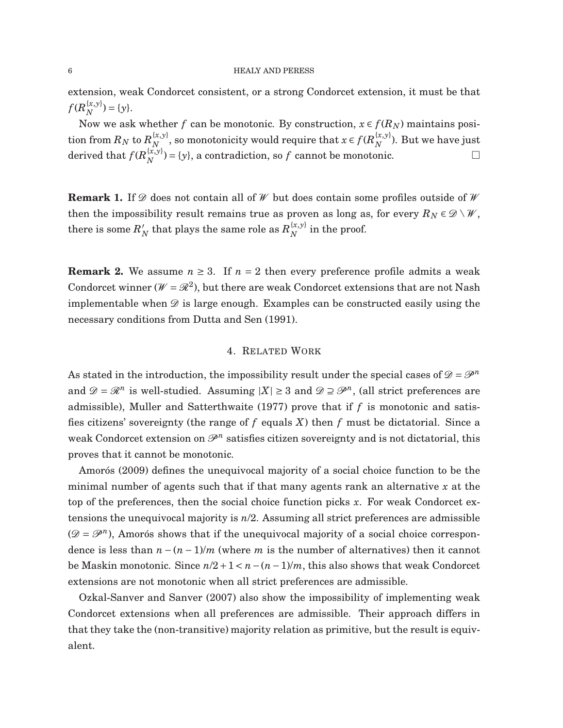extension, weak Condorcet consistent, or a strong Condorcet extension, it must be that  $f(R_{N}^{\{x,y\}})$  $N^{(x,y)}$  = {*y* }.

Now we ask whether *f* can be monotonic. By construction,  $x \in f(R_N)$  maintains posi- $\text{tion from }R_N\text{ to }R_N^{\{x,y\}}$  $\mathcal{R}^{\{x,y\}}_{N}$ , so monotonicity would require that  $x \in f(R_N^{\{x,y\}})$  $_N^{(x,y)}$ ). But we have just derived that  $f(R_N^{\{x,y\}})$  $\{x,y\}(\mathbf{x},y) = \{y\}$ , a contradiction, so *f* cannot be monotonic.

**Remark 1.** If  $\mathscr{D}$  does not contain all of  $\mathscr{W}$  but does contain some profiles outside of  $\mathscr{W}$ then the impossibility result remains true as proven as long as, for every  $R_N \in \mathcal{D} \setminus \mathcal{W}$ , there is some  $R_1'$  $N\over N$  that plays the same role as  $R_{N}^{\{x,y\}}$  $\chi^{(x,y)}$  in the proof.

**Remark 2.** We assume  $n \geq 3$ . If  $n = 2$  then every preference profile admits a weak Condorcet winner ( $W = \mathcal{R}^2$ ), but there are weak Condorcet extensions that are not Nash implementable when  $\mathscr D$  is large enough. Examples can be constructed easily using the necessary conditions from Dutta and Sen (1991).

## 4. RELATED WORK

As stated in the introduction, the impossibility result under the special cases of  $\mathcal{D} = \mathcal{P}^n$ and  $\mathcal{D} = \mathcal{R}^n$  is well-studied. Assuming  $|X| \geq 3$  and  $\mathcal{D} \supseteq \mathcal{P}^n$ , (all strict preferences are admissible), Muller and Satterthwaite (1977) prove that if *f* is monotonic and satisfies citizens' sovereignty (the range of *f* equals *X*) then *f* must be dictatorial. Since a weak Condorcet extension on  $\mathscr{P}^n$  satisfies citizen sovereignty and is not dictatorial, this proves that it cannot be monotonic.

Amorós (2009) defines the unequivocal majority of a social choice function to be the minimal number of agents such that if that many agents rank an alternative *x* at the top of the preferences, then the social choice function picks *x*. For weak Condorcet extensions the unequivocal majority is *n*/2. Assuming all strict preferences are admissible  $(\mathcal{D} = \mathcal{P}^n)$ , Amorós shows that if the unequivocal majority of a social choice correspondence is less than  $n - (n - 1)/m$  (where *m* is the number of alternatives) then it cannot be Maskin monotonic. Since  $n/2+1 < n-(n-1)/m$ , this also shows that weak Condorcet extensions are not monotonic when all strict preferences are admissible.

Ozkal-Sanver and Sanver (2007) also show the impossibility of implementing weak Condorcet extensions when all preferences are admissible. Their approach differs in that they take the (non-transitive) majority relation as primitive, but the result is equivalent.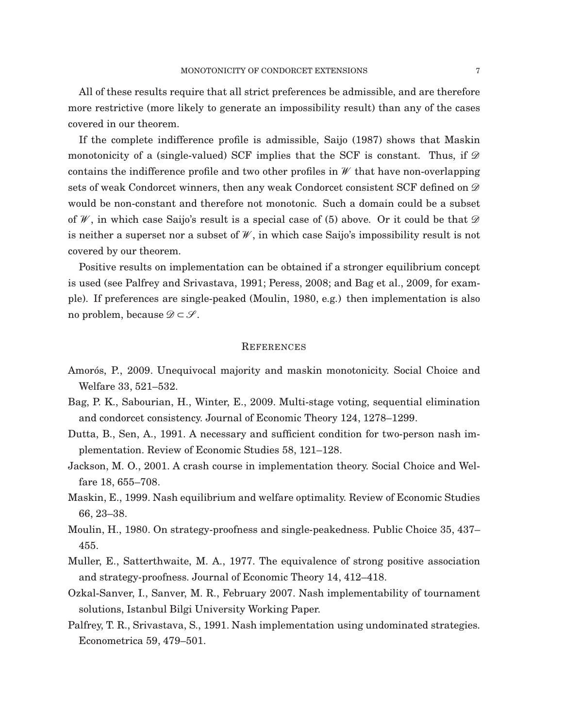All of these results require that all strict preferences be admissible, and are therefore more restrictive (more likely to generate an impossibility result) than any of the cases covered in our theorem.

If the complete indifference profile is admissible, Saijo (1987) shows that Maskin monotonicity of a (single-valued) SCF implies that the SCF is constant. Thus, if  $\mathscr{D}$ contains the indifference profile and two other profiles in  $W$  that have non-overlapping sets of weak Condorcet winners, then any weak Condorcet consistent SCF defined on  $\mathscr{D}$ would be non-constant and therefore not monotonic. Such a domain could be a subset of W, in which case Saijo's result is a special case of (5) above. Or it could be that  $\mathscr D$ is neither a superset nor a subset of  $W$ , in which case Saijo's impossibility result is not covered by our theorem.

Positive results on implementation can be obtained if a stronger equilibrium concept is used (see Palfrey and Srivastava, 1991; Peress, 2008; and Bag et al., 2009, for example). If preferences are single-peaked (Moulin, 1980, e.g.) then implementation is also no problem, because  $\mathscr{D} \subset \mathscr{S}$ .

### **REFERENCES**

- Amorós, P., 2009. Unequivocal majority and maskin monotonicity. Social Choice and Welfare 33, 521–532.
- Bag, P. K., Sabourian, H., Winter, E., 2009. Multi-stage voting, sequential elimination and condorcet consistency. Journal of Economic Theory 124, 1278–1299.
- Dutta, B., Sen, A., 1991. A necessary and sufficient condition for two-person nash implementation. Review of Economic Studies 58, 121–128.
- Jackson, M. O., 2001. A crash course in implementation theory. Social Choice and Welfare 18, 655–708.
- Maskin, E., 1999. Nash equilibrium and welfare optimality. Review of Economic Studies 66, 23–38.
- Moulin, H., 1980. On strategy-proofness and single-peakedness. Public Choice 35, 437– 455.
- Muller, E., Satterthwaite, M. A., 1977. The equivalence of strong positive association and strategy-proofness. Journal of Economic Theory 14, 412–418.
- Ozkal-Sanver, I., Sanver, M. R., February 2007. Nash implementability of tournament solutions, Istanbul Bilgi University Working Paper.
- Palfrey, T. R., Srivastava, S., 1991. Nash implementation using undominated strategies. Econometrica 59, 479–501.